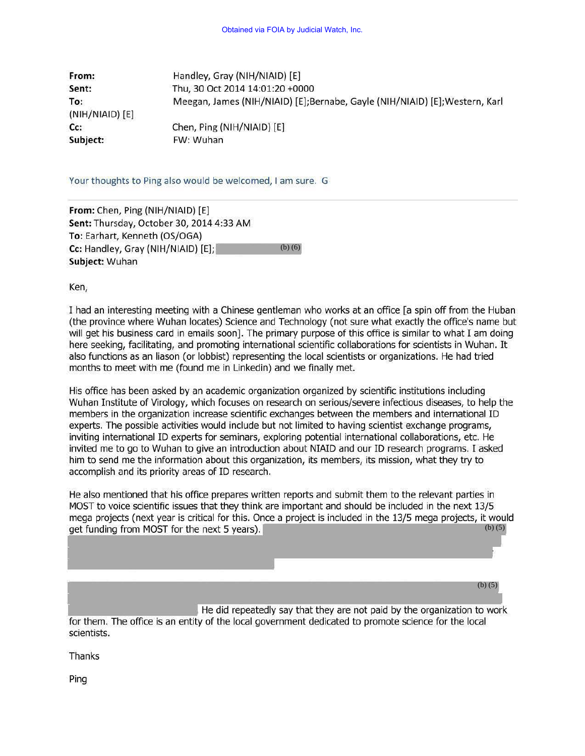| From:           | Handley, Gray (NIH/NIAID) [E]                                              |
|-----------------|----------------------------------------------------------------------------|
| Sent:           | Thu, 30 Oct 2014 14:01:20 +0000                                            |
| To:             | Meegan, James (NIH/NIAID) [E];Bernabe, Gayle (NIH/NIAID) [E];Western, Karl |
| (NIH/NIAID) [E] |                                                                            |
| Cc:             | Chen, Ping (NIH/NIAID) [E]                                                 |
| Subject:        | FW: Wuhan                                                                  |

Your thoughts to Ping also would be welcomed, I am sure. G

(b) (6) **From:** Chen, Ping (NIH/NIAID) [E) **Sent:** Thursday, October 30, 2014 4:33AM **To:** Earhart, Kenneth (05/0GA) **Cc:** Handley, Gray (NIH/NIAID) (E); **Subject:** Wuhan

Ken,

I had an interesting meeting with a Chinese gentleman who works at an office [a spin off from the Huban (the province where Wuhan locates) Science and Technology (not sure what exactly the office's name but will get his business card in emails soon]. The primary purpose of this office is similar to what I am doing here seeking, facilitating, and promoting international scientific collaborations for scientists in Wuhan. It also functions as an liason (or lobbist) representing the local scientists or organizations. He had tried months to meet with me (found me in Linkedin) and we finally met.

His office has been asked by an academic organization organized by scientific institutions including Wuhan Institute of Virology, which focuses on research on serious/severe infectious diseases, to help the members in the organization increase scientific exchanges between the members and international ID experts. The possible activities would include but not limited to having scientist exchange programs, inviting international ID experts for seminars, exploring potential international collaborations, etc. He invited me to go to Wuhan to give an introduction about NIAID and our ID research programs. I asked him to send me the information about this organization, its members, its mission, what they try to accomplish and its priority areas of ID research.

(b) (5) He also mentioned that his office prepares written reports and submit them to the relevant parties in MOST to voice scientific issues that they think are important and should be included in the next 13/5 mega projects (next year is critical for this. Once a project is included in the 13/5 mega projects, it would get funding from MOST for the next 5 years).

(b) (5)

scientists. He did repeatedly say that they are not paid by the organization to work for them. The office is an entity of the local government dedicated to promote science for the local

Thanks

Ping